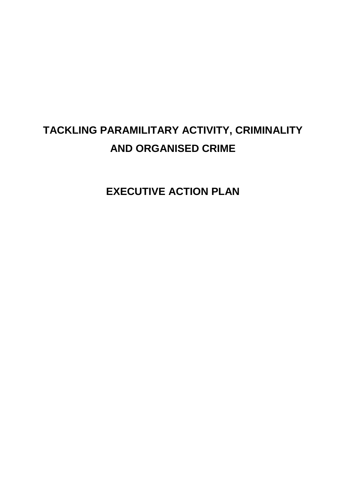# **TACKLING PARAMILITARY ACTIVITY, CRIMINALITY AND ORGANISED CRIME**

**EXECUTIVE ACTION PLAN**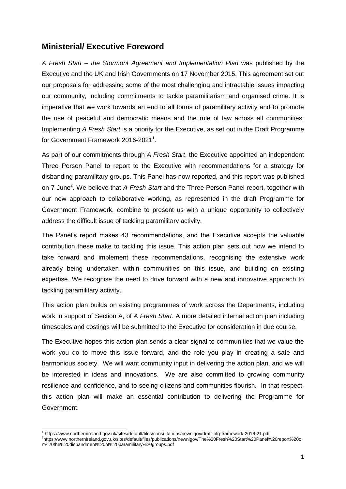### **Ministerial/ Executive Foreword**

*A Fresh Start – the Stormont Agreement and Implementation Plan* was published by the Executive and the UK and Irish Governments on 17 November 2015. This agreement set out our proposals for addressing some of the most challenging and intractable issues impacting our community, including commitments to tackle paramilitarism and organised crime. It is imperative that we work towards an end to all forms of paramilitary activity and to promote the use of peaceful and democratic means and the rule of law across all communities. Implementing *A Fresh Start* is a priority for the Executive, as set out in the Draft Programme for Government Framework 2016-2021<sup>1</sup>.

As part of our commitments through *A Fresh Start*, the Executive appointed an independent Three Person Panel to report to the Executive with recommendations for a strategy for disbanding paramilitary groups. This Panel has now reported, and this report was published on 7 June<sup>2</sup>. We believe that *A Fresh Start* and the Three Person Panel report, together with our new approach to collaborative working, as represented in the draft Programme for Government Framework, combine to present us with a unique opportunity to collectively address the difficult issue of tackling paramilitary activity.

The Panel's report makes 43 recommendations, and the Executive accepts the valuable contribution these make to tackling this issue. This action plan sets out how we intend to take forward and implement these recommendations, recognising the extensive work already being undertaken within communities on this issue, and building on existing expertise. We recognise the need to drive forward with a new and innovative approach to tackling paramilitary activity.

This action plan builds on existing programmes of work across the Departments, including work in support of Section A, of *A Fresh Start*. A more detailed internal action plan including timescales and costings will be submitted to the Executive for consideration in due course.

The Executive hopes this action plan sends a clear signal to communities that we value the work you do to move this issue forward, and the role you play in creating a safe and harmonious society. We will want community input in delivering the action plan, and we will be interested in ideas and innovations. We are also committed to growing community resilience and confidence, and to seeing citizens and communities flourish. In that respect, this action plan will make an essential contribution to delivering the Programme for Government.

**<sup>.</sup>** 1 https://www.northernireland.gov.uk/sites/default/files/consultations/newnigov/draft-pfg-framework-2016-21.pdf 2 https://www.northernireland.gov.uk/sites/default/files/publications/newnigov/The%20Fresh%20Start%20Panel%20report%20o n%20the%20disbandment%20of%20paramilitary%20groups.pdf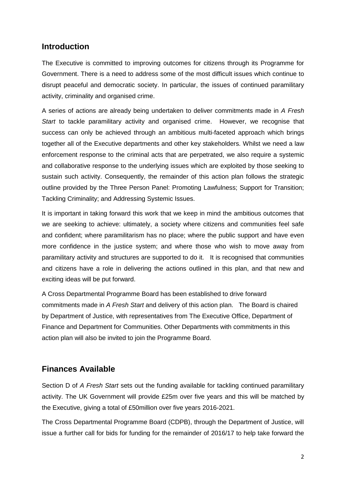## **Introduction**

The Executive is committed to improving outcomes for citizens through its Programme for Government. There is a need to address some of the most difficult issues which continue to disrupt peaceful and democratic society. In particular, the issues of continued paramilitary activity, criminality and organised crime.

A series of actions are already being undertaken to deliver commitments made in *A Fresh Start* to tackle paramilitary activity and organised crime. However, we recognise that success can only be achieved through an ambitious multi-faceted approach which brings together all of the Executive departments and other key stakeholders. Whilst we need a law enforcement response to the criminal acts that are perpetrated, we also require a systemic and collaborative response to the underlying issues which are exploited by those seeking to sustain such activity. Consequently, the remainder of this action plan follows the strategic outline provided by the Three Person Panel: Promoting Lawfulness; Support for Transition; Tackling Criminality; and Addressing Systemic Issues.

It is important in taking forward this work that we keep in mind the ambitious outcomes that we are seeking to achieve: ultimately, a society where citizens and communities feel safe and confident; where paramilitarism has no place; where the public support and have even more confidence in the justice system; and where those who wish to move away from paramilitary activity and structures are supported to do it. It is recognised that communities and citizens have a role in delivering the actions outlined in this plan, and that new and exciting ideas will be put forward.

A Cross Departmental Programme Board has been established to drive forward commitments made in *A Fresh Start* and delivery of this action plan. The Board is chaired by Department of Justice, with representatives from The Executive Office, Department of Finance and Department for Communities. Other Departments with commitments in this action plan will also be invited to join the Programme Board.

# **Finances Available**

Section D of *A Fresh Start* sets out the funding available for tackling continued paramilitary activity. The UK Government will provide £25m over five years and this will be matched by the Executive, giving a total of £50million over five years 2016-2021.

The Cross Departmental Programme Board (CDPB), through the Department of Justice, will issue a further call for bids for funding for the remainder of 2016/17 to help take forward the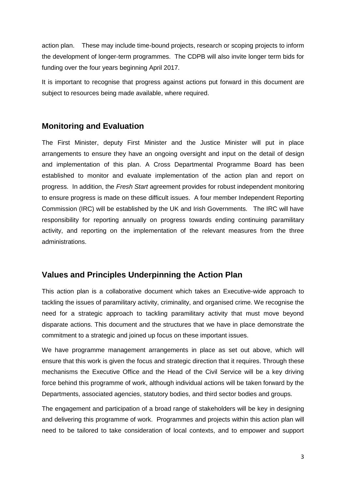action plan. These may include time-bound projects, research or scoping projects to inform the development of longer-term programmes. The CDPB will also invite longer term bids for funding over the four years beginning April 2017.

It is important to recognise that progress against actions put forward in this document are subject to resources being made available, where required.

# **Monitoring and Evaluation**

The First Minister, deputy First Minister and the Justice Minister will put in place arrangements to ensure they have an ongoing oversight and input on the detail of design and implementation of this plan. A Cross Departmental Programme Board has been established to monitor and evaluate implementation of the action plan and report on progress. In addition, the *Fresh Start* agreement provides for robust independent monitoring to ensure progress is made on these difficult issues. A four member Independent Reporting Commission (IRC) will be established by the UK and Irish Governments. The IRC will have responsibility for reporting annually on progress towards ending continuing paramilitary activity, and reporting on the implementation of the relevant measures from the three administrations.

# **Values and Principles Underpinning the Action Plan**

This action plan is a collaborative document which takes an Executive-wide approach to tackling the issues of paramilitary activity, criminality, and organised crime. We recognise the need for a strategic approach to tackling paramilitary activity that must move beyond disparate actions. This document and the structures that we have in place demonstrate the commitment to a strategic and joined up focus on these important issues.

We have programme management arrangements in place as set out above, which will ensure that this work is given the focus and strategic direction that it requires. Through these mechanisms the Executive Office and the Head of the Civil Service will be a key driving force behind this programme of work, although individual actions will be taken forward by the Departments, associated agencies, statutory bodies, and third sector bodies and groups.

The engagement and participation of a broad range of stakeholders will be key in designing and delivering this programme of work. Programmes and projects within this action plan will need to be tailored to take consideration of local contexts, and to empower and support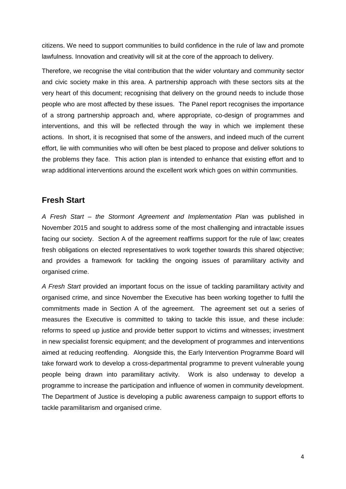citizens. We need to support communities to build confidence in the rule of law and promote lawfulness. Innovation and creativity will sit at the core of the approach to delivery.

Therefore, we recognise the vital contribution that the wider voluntary and community sector and civic society make in this area. A partnership approach with these sectors sits at the very heart of this document; recognising that delivery on the ground needs to include those people who are most affected by these issues. The Panel report recognises the importance of a strong partnership approach and, where appropriate, co-design of programmes and interventions, and this will be reflected through the way in which we implement these actions. In short, it is recognised that some of the answers, and indeed much of the current effort, lie with communities who will often be best placed to propose and deliver solutions to the problems they face. This action plan is intended to enhance that existing effort and to wrap additional interventions around the excellent work which goes on within communities.

### **Fresh Start**

*A Fresh Start – the Stormont Agreement and Implementation Plan* was published in November 2015 and sought to address some of the most challenging and intractable issues facing our society. Section A of the agreement reaffirms support for the rule of law; creates fresh obligations on elected representatives to work together towards this shared objective; and provides a framework for tackling the ongoing issues of paramilitary activity and organised crime.

*A Fresh Start* provided an important focus on the issue of tackling paramilitary activity and organised crime, and since November the Executive has been working together to fulfil the commitments made in Section A of the agreement. The agreement set out a series of measures the Executive is committed to taking to tackle this issue, and these include: reforms to speed up justice and provide better support to victims and witnesses; investment in new specialist forensic equipment; and the development of programmes and interventions aimed at reducing reoffending. Alongside this, the Early Intervention Programme Board will take forward work to develop a cross-departmental programme to prevent vulnerable young people being drawn into paramilitary activity. Work is also underway to develop a programme to increase the participation and influence of women in community development. The Department of Justice is developing a public awareness campaign to support efforts to tackle paramilitarism and organised crime.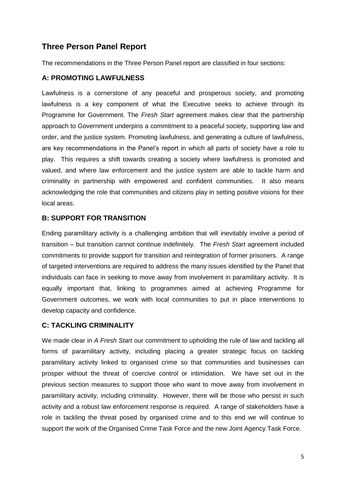# **Three Person Panel Report**

The recommendations in the Three Person Panel report are classified in four sections:

#### **A: PROMOTING LAWFULNESS**

Lawfulness is a cornerstone of any peaceful and prosperous society, and promoting lawfulness is a key component of what the Executive seeks to achieve through its Programme for Government. The *Fresh Start* agreement makes clear that the partnership approach to Government underpins a commitment to a peaceful society, supporting law and order, and the justice system. Promoting lawfulness, and generating a culture of lawfulness, are key recommendations in the Panel's report in which all parts of society have a role to play. This requires a shift towards creating a society where lawfulness is promoted and valued, and where law enforcement and the justice system are able to tackle harm and criminality in partnership with empowered and confident communities. It also means acknowledging the role that communities and citizens play in setting positive visions for their local areas.

#### **B: SUPPORT FOR TRANSITION**

Ending paramilitary activity is a challenging ambition that will inevitably involve a period of transition – but transition cannot continue indefinitely. The *Fresh Start* agreement included commitments to provide support for transition and reintegration of former prisoners. A range of targeted interventions are required to address the many issues identified by the Panel that individuals can face in seeking to move away from involvement in paramilitary activity. It is equally important that, linking to programmes aimed at achieving Programme for Government outcomes, we work with local communities to put in place interventions to develop capacity and confidence.

### **C: TACKLING CRIMINALITY**

We made clear in *A Fresh Start* our commitment to upholding the rule of law and tackling all forms of paramilitary activity, including placing a greater strategic focus on tackling paramilitary activity linked to organised crime so that communities and businesses can prosper without the threat of coercive control or intimidation. We have set out in the previous section measures to support those who want to move away from involvement in paramilitary activity, including criminality. However, there will be those who persist in such activity and a robust law enforcement response is required. A range of stakeholders have a role in tackling the threat posed by organised crime and to this end we will continue to support the work of the Organised Crime Task Force and the new Joint Agency Task Force.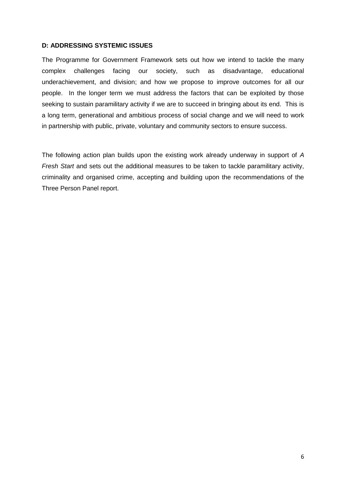#### **D: ADDRESSING SYSTEMIC ISSUES**

The Programme for Government Framework sets out how we intend to tackle the many complex challenges facing our society, such as disadvantage, educational underachievement, and division; and how we propose to improve outcomes for all our people. In the longer term we must address the factors that can be exploited by those seeking to sustain paramilitary activity if we are to succeed in bringing about its end. This is a long term, generational and ambitious process of social change and we will need to work in partnership with public, private, voluntary and community sectors to ensure success.

The following action plan builds upon the existing work already underway in support of *A Fresh Start* and sets out the additional measures to be taken to tackle paramilitary activity, criminality and organised crime, accepting and building upon the recommendations of the Three Person Panel report.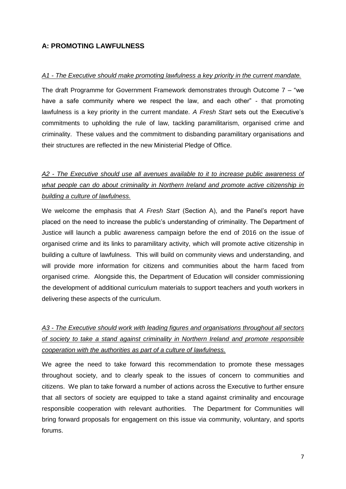### **A: PROMOTING LAWFULNESS**

#### *A1 - The Executive should make promoting lawfulness a key priority in the current mandate.*

The draft Programme for Government Framework demonstrates through Outcome 7 – "we have a safe community where we respect the law, and each other" - that promoting lawfulness is a key priority in the current mandate. *A Fresh Start* sets out the Executive's commitments to upholding the rule of law, tackling paramilitarism, organised crime and criminality. These values and the commitment to disbanding paramilitary organisations and their structures are reflected in the new Ministerial Pledge of Office.

# *A2 - The Executive should use all avenues available to it to increase public awareness of what people can do about criminality in Northern Ireland and promote active citizenship in building a culture of lawfulness.*

We welcome the emphasis that *A Fresh Start* (Section A), and the Panel's report have placed on the need to increase the public's understanding of criminality. The Department of Justice will launch a public awareness campaign before the end of 2016 on the issue of organised crime and its links to paramilitary activity, which will promote active citizenship in building a culture of lawfulness. This will build on community views and understanding, and will provide more information for citizens and communities about the harm faced from organised crime. Alongside this, the Department of Education will consider commissioning the development of additional curriculum materials to support teachers and youth workers in delivering these aspects of the curriculum.

# *A3 - The Executive should work with leading figures and organisations throughout all sectors of society to take a stand against criminality in Northern Ireland and promote responsible cooperation with the authorities as part of a culture of lawfulness.*

We agree the need to take forward this recommendation to promote these messages throughout society, and to clearly speak to the issues of concern to communities and citizens. We plan to take forward a number of actions across the Executive to further ensure that all sectors of society are equipped to take a stand against criminality and encourage responsible cooperation with relevant authorities. The Department for Communities will bring forward proposals for engagement on this issue via community, voluntary, and sports forums.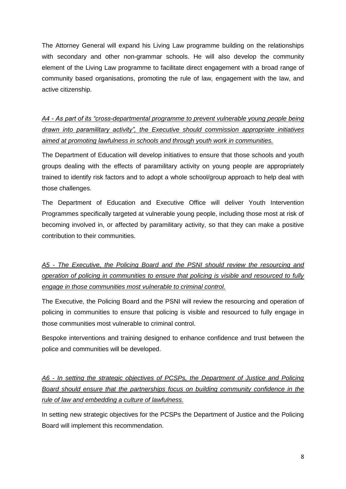The Attorney General will expand his Living Law programme building on the relationships with secondary and other non-grammar schools. He will also develop the community element of the Living Law programme to facilitate direct engagement with a broad range of community based organisations, promoting the rule of law, engagement with the law, and active citizenship.

*A4 - As part of its "cross-departmental programme to prevent vulnerable young people being drawn into paramilitary activity", the Executive should commission appropriate initiatives aimed at promoting lawfulness in schools and through youth work in communities.*

The Department of Education will develop initiatives to ensure that those schools and youth groups dealing with the effects of paramilitary activity on young people are appropriately trained to identify risk factors and to adopt a whole school/group approach to help deal with those challenges.

The Department of Education and Executive Office will deliver Youth Intervention Programmes specifically targeted at vulnerable young people, including those most at risk of becoming involved in, or affected by paramilitary activity, so that they can make a positive contribution to their communities.

*A5 - The Executive, the Policing Board and the PSNI should review the resourcing and operation of policing in communities to ensure that policing is visible and resourced to fully engage in those communities most vulnerable to criminal control.*

The Executive, the Policing Board and the PSNI will review the resourcing and operation of policing in communities to ensure that policing is visible and resourced to fully engage in those communities most vulnerable to criminal control.

Bespoke interventions and training designed to enhance confidence and trust between the police and communities will be developed.

*A6 - In setting the strategic objectives of PCSPs, the Department of Justice and Policing Board should ensure that the partnerships focus on building community confidence in the rule of law and embedding a culture of lawfulness.*

In setting new strategic objectives for the PCSPs the Department of Justice and the Policing Board will implement this recommendation.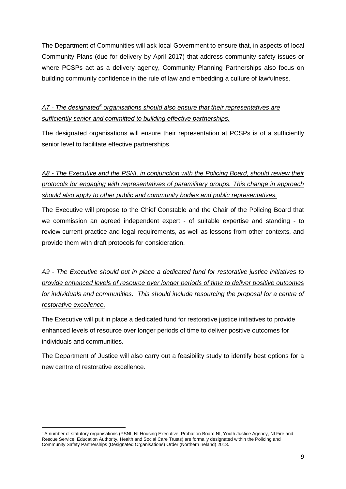The Department of Communities will ask local Government to ensure that, in aspects of local Community Plans (due for delivery by April 2017) that address community safety issues or where PCSPs act as a delivery agency, Community Planning Partnerships also focus on building community confidence in the rule of law and embedding a culture of lawfulness.

*A7 - The designated<sup>3</sup> organisations should also ensure that their representatives are sufficiently senior and committed to building effective partnerships.*

The designated organisations will ensure their representation at PCSPs is of a sufficiently senior level to facilitate effective partnerships.

*A8 - The Executive and the PSNI, in conjunction with the Policing Board, should review their protocols for engaging with representatives of paramilitary groups. This change in approach should also apply to other public and community bodies and public representatives.* 

The Executive will propose to the Chief Constable and the Chair of the Policing Board that we commission an agreed independent expert - of suitable expertise and standing - to review current practice and legal requirements, as well as lessons from other contexts, and provide them with draft protocols for consideration.

*A9 - The Executive should put in place a dedicated fund for restorative justice initiatives to provide enhanced levels of resource over longer periods of time to deliver positive outcomes for individuals and communities. This should include resourcing the proposal for a centre of restorative excellence.*

The Executive will put in place a dedicated fund for restorative justice initiatives to provide enhanced levels of resource over longer periods of time to deliver positive outcomes for individuals and communities.

The Department of Justice will also carry out a feasibility study to identify best options for a new centre of restorative excellence.

1

<sup>&</sup>lt;sup>3</sup> A number of statutory organisations (PSNI, NI Housing Executive, Probation Board NI, Youth Justice Agency, NI Fire and Rescue Service, Education Authority, Health and Social Care Trusts) are formally designated within the Policing and Community Safety Partnerships (Designated Organisations) Order (Northern Ireland) 2013.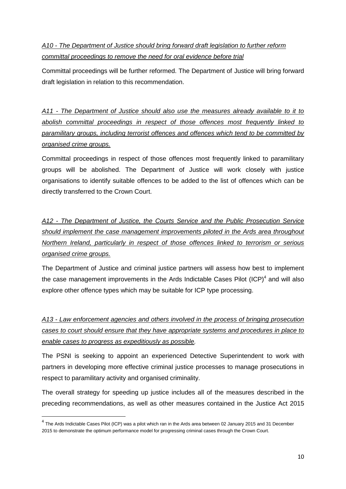# *A10 - The Department of Justice should bring forward draft legislation to further reform committal proceedings to remove the need for oral evidence before trial*

Committal proceedings will be further reformed. The Department of Justice will bring forward draft legislation in relation to this recommendation.

*A11 - The Department of Justice should also use the measures already available to it to abolish committal proceedings in respect of those offences most frequently linked to paramilitary groups, including terrorist offences and offences which tend to be committed by organised crime groups.*

Committal proceedings in respect of those offences most frequently linked to paramilitary groups will be abolished. The Department of Justice will work closely with justice organisations to identify suitable offences to be added to the list of offences which can be directly transferred to the Crown Court.

*A12 - The Department of Justice, the Courts Service and the Public Prosecution Service should implement the case management improvements piloted in the Ards area throughout Northern Ireland, particularly in respect of those offences linked to terrorism or serious organised crime groups.* 

The Department of Justice and criminal justice partners will assess how best to implement the case management improvements in the Ards Indictable Cases Pilot  $(ICP)^4$  and will also explore other offence types which may be suitable for ICP type processing.

*A13 - Law enforcement agencies and others involved in the process of bringing prosecution cases to court should ensure that they have appropriate systems and procedures in place to enable cases to progress as expeditiously as possible.*

The PSNI is seeking to appoint an experienced Detective Superintendent to work with partners in developing more effective criminal justice processes to manage prosecutions in respect to paramilitary activity and organised criminality.

The overall strategy for speeding up justice includes all of the measures described in the preceding recommendations, as well as other measures contained in the Justice Act 2015

1

<sup>&</sup>lt;sup>4</sup> The Ards Indictable Cases Pilot (ICP) was a pilot which ran in the Ards area between 02 January 2015 and 31 December 2015 to demonstrate the optimum performance model for progressing criminal cases through the Crown Court.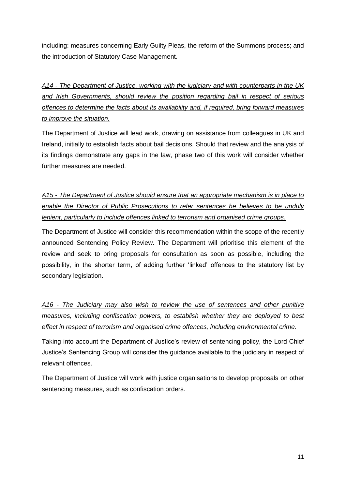including: measures concerning Early Guilty Pleas, the reform of the Summons process; and the introduction of Statutory Case Management.

*A14 - The Department of Justice, working with the judiciary and with counterparts in the UK and Irish Governments, should review the position regarding bail in respect of serious offences to determine the facts about its availability and, if required, bring forward measures to improve the situation.*

The Department of Justice will lead work, drawing on assistance from colleagues in UK and Ireland, initially to establish facts about bail decisions. Should that review and the analysis of its findings demonstrate any gaps in the law, phase two of this work will consider whether further measures are needed.

*A15 - The Department of Justice should ensure that an appropriate mechanism is in place to enable the Director of Public Prosecutions to refer sentences he believes to be unduly lenient, particularly to include offences linked to terrorism and organised crime groups.*

The Department of Justice will consider this recommendation within the scope of the recently announced Sentencing Policy Review. The Department will prioritise this element of the review and seek to bring proposals for consultation as soon as possible, including the possibility, in the shorter term, of adding further 'linked' offences to the statutory list by secondary legislation.

*A16 - The Judiciary may also wish to review the use of sentences and other punitive measures, including confiscation powers, to establish whether they are deployed to best effect in respect of terrorism and organised crime offences, including environmental crime.*

Taking into account the Department of Justice's review of sentencing policy, the Lord Chief Justice's Sentencing Group will consider the guidance available to the judiciary in respect of relevant offences.

The Department of Justice will work with justice organisations to develop proposals on other sentencing measures, such as confiscation orders.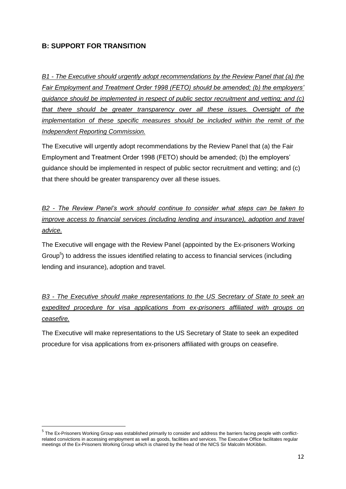# **B: SUPPORT FOR TRANSITION**

**.** 

*B1 - The Executive should urgently adopt recommendations by the Review Panel that (a) the Fair Employment and Treatment Order 1998 (FETO) should be amended; (b) the employers' guidance should be implemented in respect of public sector recruitment and vetting; and (c) that there should be greater transparency over all these issues. Oversight of the implementation of these specific measures should be included within the remit of the Independent Reporting Commission.* 

The Executive will urgently adopt recommendations by the Review Panel that (a) the Fair Employment and Treatment Order 1998 (FETO) should be amended; (b) the employers' guidance should be implemented in respect of public sector recruitment and vetting; and (c) that there should be greater transparency over all these issues.

*B2 - The Review Panel's work should continue to consider what steps can be taken to improve access to financial services (including lending and insurance), adoption and travel advice.*

The Executive will engage with the Review Panel (appointed by the Ex-prisoners Working Group<sup>5</sup>) to address the issues identified relating to access to financial services (including lending and insurance), adoption and travel.

*B3 - The Executive should make representations to the US Secretary of State to seek an expedited procedure for visa applications from ex-prisoners affiliated with groups on ceasefire.*

The Executive will make representations to the US Secretary of State to seek an expedited procedure for visa applications from ex-prisoners affiliated with groups on ceasefire.

<sup>&</sup>lt;sup>5</sup> The Ex-Prisoners Working Group was established primarily to consider and address the barriers facing people with conflictrelated convictions in accessing employment as well as goods, facilities and services. The Executive Office facilitates regular meetings of the Ex-Prisoners Working Group which is chaired by the head of the NICS Sir Malcolm McKibbin.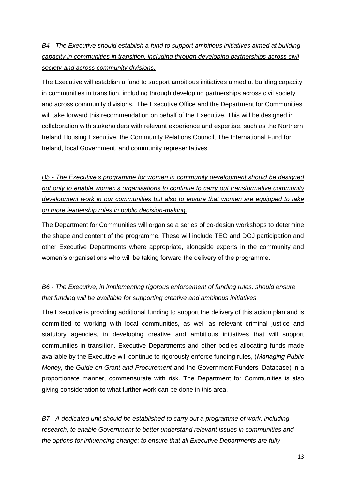*B4 - The Executive should establish a fund to support ambitious initiatives aimed at building capacity in communities in transition, including through developing partnerships across civil society and across community divisions.*

The Executive will establish a fund to support ambitious initiatives aimed at building capacity in communities in transition, including through developing partnerships across civil society and across community divisions. The Executive Office and the Department for Communities will take forward this recommendation on behalf of the Executive. This will be designed in collaboration with stakeholders with relevant experience and expertise, such as the Northern Ireland Housing Executive, the Community Relations Council, The International Fund for Ireland, local Government, and community representatives.

*B5 - The Executive's programme for women in community development should be designed not only to enable women's organisations to continue to carry out transformative community development work in our communities but also to ensure that women are equipped to take on more leadership roles in public decision-making.*

The Department for Communities will organise a series of co-design workshops to determine the shape and content of the programme. These will include TEO and DOJ participation and other Executive Departments where appropriate, alongside experts in the community and women's organisations who will be taking forward the delivery of the programme.

# *B6 - The Executive, in implementing rigorous enforcement of funding rules, should ensure that funding will be available for supporting creative and ambitious initiatives.*

The Executive is providing additional funding to support the delivery of this action plan and is committed to working with local communities, as well as relevant criminal justice and statutory agencies, in developing creative and ambitious initiatives that will support communities in transition. Executive Departments and other bodies allocating funds made available by the Executive will continue to rigorously enforce funding rules, (*Managing Public Money,* the *Guide on Grant and Procurement* and the Government Funders' Database) in a proportionate manner, commensurate with risk. The Department for Communities is also giving consideration to what further work can be done in this area.

*B7 - A dedicated unit should be established to carry out a programme of work, including research, to enable Government to better understand relevant issues in communities and the options for influencing change; to ensure that all Executive Departments are fully*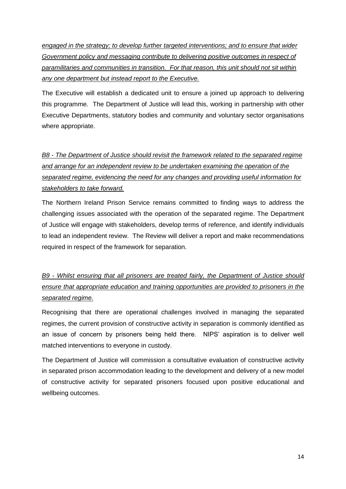*engaged in the strategy; to develop further targeted interventions; and to ensure that wider Government policy and messaging contribute to delivering positive outcomes in respect of paramilitaries and communities in transition. For that reason, this unit should not sit within any one department but instead report to the Executive.*

The Executive will establish a dedicated unit to ensure a joined up approach to delivering this programme. The Department of Justice will lead this, working in partnership with other Executive Departments, statutory bodies and community and voluntary sector organisations where appropriate.

# *B8 - The Department of Justice should revisit the framework related to the separated regime and arrange for an independent review to be undertaken examining the operation of the separated regime, evidencing the need for any changes and providing useful information for stakeholders to take forward.*

The Northern Ireland Prison Service remains committed to finding ways to address the challenging issues associated with the operation of the separated regime. The Department of Justice will engage with stakeholders, develop terms of reference, and identify individuals to lead an independent review. The Review will deliver a report and make recommendations required in respect of the framework for separation.

*B9 - Whilst ensuring that all prisoners are treated fairly, the Department of Justice should ensure that appropriate education and training opportunities are provided to prisoners in the separated regime.*

Recognising that there are operational challenges involved in managing the separated regimes, the current provision of constructive activity in separation is commonly identified as an issue of concern by prisoners being held there. NIPS' aspiration is to deliver well matched interventions to everyone in custody.

The Department of Justice will commission a consultative evaluation of constructive activity in separated prison accommodation leading to the development and delivery of a new model of constructive activity for separated prisoners focused upon positive educational and wellbeing outcomes.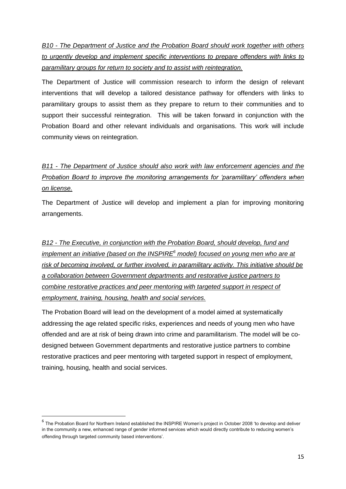*B10 - The Department of Justice and the Probation Board should work together with others to urgently develop and implement specific interventions to prepare offenders with links to paramilitary groups for return to society and to assist with reintegration.*

The Department of Justice will commission research to inform the design of relevant interventions that will develop a tailored desistance pathway for offenders with links to paramilitary groups to assist them as they prepare to return to their communities and to support their successful reintegration. This will be taken forward in conjunction with the Probation Board and other relevant individuals and organisations. This work will include community views on reintegration.

# *B11 - The Department of Justice should also work with law enforcement agencies and the Probation Board to improve the monitoring arrangements for 'paramilitary' offenders when on license.*

The Department of Justice will develop and implement a plan for improving monitoring arrangements.

*B12 - The Executive, in conjunction with the Probation Board, should develop, fund and implement an initiative (based on the INSPIRE<sup>6</sup> model) focused on young men who are at risk of becoming involved, or further involved, in paramilitary activity. This initiative should be a collaboration between Government departments and restorative justice partners to combine restorative practices and peer mentoring with targeted support in respect of employment, training, housing, health and social services.*

The Probation Board will lead on the development of a model aimed at systematically addressing the age related specific risks, experiences and needs of young men who have offended and are at risk of being drawn into crime and paramilitarism. The model will be codesigned between Government departments and restorative justice partners to combine restorative practices and peer mentoring with targeted support in respect of employment, training, housing, health and social services.

**.** 

<sup>&</sup>lt;sup>6</sup> The Probation Board for Northern Ireland established the INSPIRE Women's project in October 2008 'to develop and deliver in the community a new, enhanced range of gender informed services which would directly contribute to reducing women's offending through targeted community based interventions'.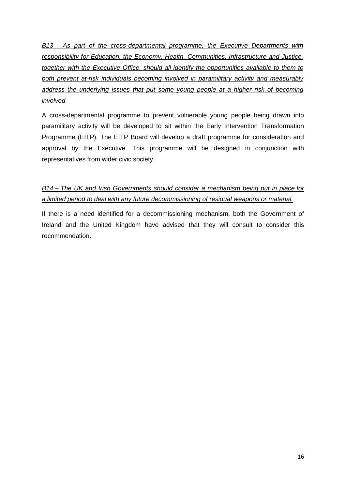*B13 - As part of the cross-departmental programme, the Executive Departments with responsibility for Education, the Economy, Health, Communities, Infrastructure and Justice, together with the Executive Office, should all identify the opportunities available to them to both prevent at-risk individuals becoming involved in paramilitary activity and measurably address the underlying issues that put some young people at a higher risk of becoming involved* 

A cross-departmental programme to prevent vulnerable young people being drawn into paramilitary activity will be developed to sit within the Early Intervention Transformation Programme (EITP). The EITP Board will develop a draft programme for consideration and approval by the Executive. This programme will be designed in conjunction with representatives from wider civic society.

# *B14 – The UK and Irish Governments should consider a mechanism being put in place for a limited period to deal with any future decommissioning of residual weapons or material.*

If there is a need identified for a decommissioning mechanism, both the Government of Ireland and the United Kingdom have advised that they will consult to consider this recommendation.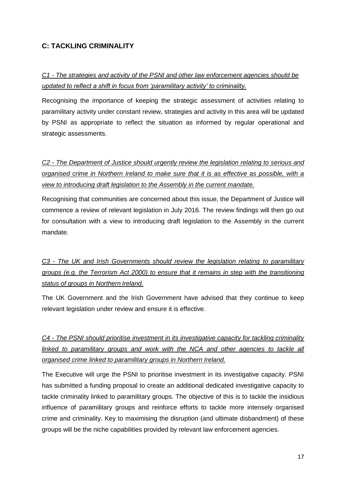# **C: TACKLING CRIMINALITY**

# *C1 - The strategies and activity of the PSNI and other law enforcement agencies should be updated to reflect a shift in focus from 'paramilitary activity' to criminality.*

Recognising the importance of keeping the strategic assessment of activities relating to paramilitary activity under constant review, strategies and activity in this area will be updated by PSNI as appropriate to reflect the situation as informed by regular operational and strategic assessments.

*C2 - The Department of Justice should urgently review the legislation relating to serious and organised crime in Northern Ireland to make sure that it is as effective as possible, with a view to introducing draft legislation to the Assembly in the current mandate.* 

Recognising that communities are concerned about this issue, the Department of Justice will commence a review of relevant legislation in July 2016. The review findings will then go out for consultation with a view to introducing draft legislation to the Assembly in the current mandate.

*C3 - The UK and Irish Governments should review the legislation relating to paramilitary groups (e.g. the Terrorism Act 2000) to ensure that it remains in step with the transitioning status of groups in Northern Ireland.*

The UK Government and the Irish Government have advised that they continue to keep relevant legislation under review and ensure it is effective.

*C4 - The PSNI should prioritise investment in its investigative capacity for tackling criminality*  linked to paramilitary groups and work with the NCA and other agencies to tackle all *organised crime linked to paramilitary groups in Northern Ireland.*

The Executive will urge the PSNI to prioritise investment in its investigative capacity. PSNI has submitted a funding proposal to create an additional dedicated investigative capacity to tackle criminality linked to paramilitary groups. The objective of this is to tackle the insidious influence of paramilitary groups and reinforce efforts to tackle more intensely organised crime and criminality. Key to maximising the disruption (and ultimate disbandment) of these groups will be the niche capabilities provided by relevant law enforcement agencies.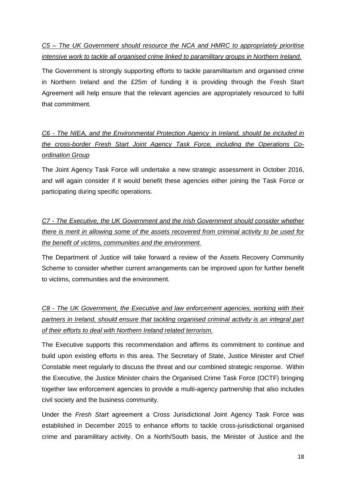*C5 – The UK Government should resource the NCA and HMRC to appropriately prioritise intensive work to tackle all organised crime linked to paramilitary groups in Northern Ireland.*

The Government is strongly supporting efforts to tackle paramilitarism and organised crime in Northern Ireland and the £25m of funding it is providing through the Fresh Start Agreement will help ensure that the relevant agencies are appropriately resourced to fulfil that commitment.

*C6 - The NIEA, and the Environmental Protection Agency in Ireland, should be included in the cross-border Fresh Start Joint Agency Task Force, including the Operations Coordination Group*

The Joint Agency Task Force will undertake a new strategic assessment in October 2016, and will again consider if it would benefit these agencies either joining the Task Force or participating during specific operations.

*C7 - The Executive, the UK Government and the Irish Government should consider whether there is merit in allowing some of the assets recovered from criminal activity to be used for the benefit of victims, communities and the environment.*

The Department of Justice will take forward a review of the Assets Recovery Community Scheme to consider whether current arrangements can be improved upon for further benefit to victims, communities and the environment.

*C8 - The UK Government, the Executive and law enforcement agencies, working with their partners in Ireland, should ensure that tackling organised criminal activity is an integral part of their efforts to deal with Northern Ireland related terrorism.* 

The Executive supports this recommendation and affirms its commitment to continue and build upon existing efforts in this area. The Secretary of State, Justice Minister and Chief Constable meet regularly to discuss the threat and our combined strategic response. Within the Executive, the Justice Minister chairs the Organised Crime Task Force (OCTF) bringing together law enforcement agencies to provide a multi-agency partnership that also includes civil society and the business community.

Under the *Fresh Start* agreement a Cross Jurisdictional Joint Agency Task Force was established in December 2015 to enhance efforts to tackle cross-jurisdictional organised crime and paramilitary activity. On a North/South basis, the Minister of Justice and the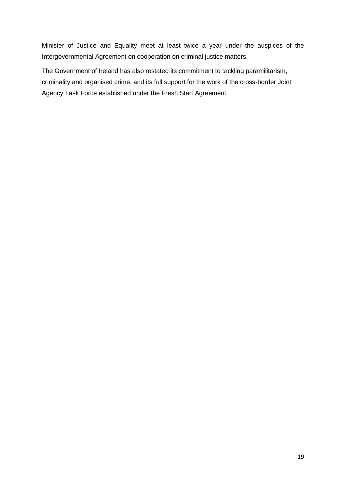Minister of Justice and Equality meet at least twice a year under the auspices of the Intergovernmental Agreement on cooperation on criminal justice matters.

The Government of Ireland has also restated its commitment to tackling paramilitarism, criminality and organised crime, and its full support for the work of the cross-border Joint Agency Task Force established under the Fresh Start Agreement.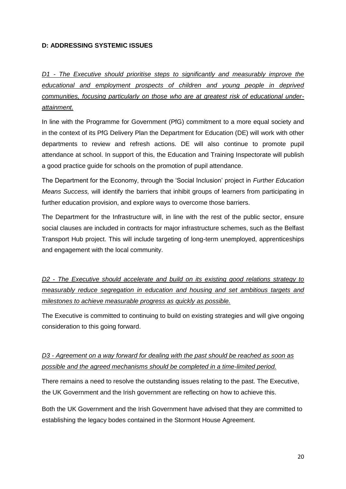#### **D: ADDRESSING SYSTEMIC ISSUES**

*D1 - The Executive should prioritise steps to significantly and measurably improve the educational and employment prospects of children and young people in deprived communities, focusing particularly on those who are at greatest risk of educational underattainment.* 

In line with the Programme for Government (PfG) commitment to a more equal society and in the context of its PfG Delivery Plan the Department for Education (DE) will work with other departments to review and refresh actions. DE will also continue to promote pupil attendance at school. In support of this, the Education and Training Inspectorate will publish a good practice guide for schools on the promotion of pupil attendance.

The Department for the Economy, through the 'Social Inclusion' project in *Further Education Means Success,* will identify the barriers that inhibit groups of learners from participating in further education provision, and explore ways to overcome those barriers.

The Department for the Infrastructure will, in line with the rest of the public sector, ensure social clauses are included in contracts for major infrastructure schemes, such as the Belfast Transport Hub project. This will include targeting of long-term unemployed, apprenticeships and engagement with the local community.

*D2 - The Executive should accelerate and build on its existing good relations strategy to measurably reduce segregation in education and housing and set ambitious targets and milestones to achieve measurable progress as quickly as possible.*

The Executive is committed to continuing to build on existing strategies and will give ongoing consideration to this going forward.

# *D3 - Agreement on a way forward for dealing with the past should be reached as soon as possible and the agreed mechanisms should be completed in a time-limited period.*

There remains a need to resolve the outstanding issues relating to the past. The Executive, the UK Government and the Irish government are reflecting on how to achieve this.

Both the UK Government and the Irish Government have advised that they are committed to establishing the legacy bodes contained in the Stormont House Agreement.